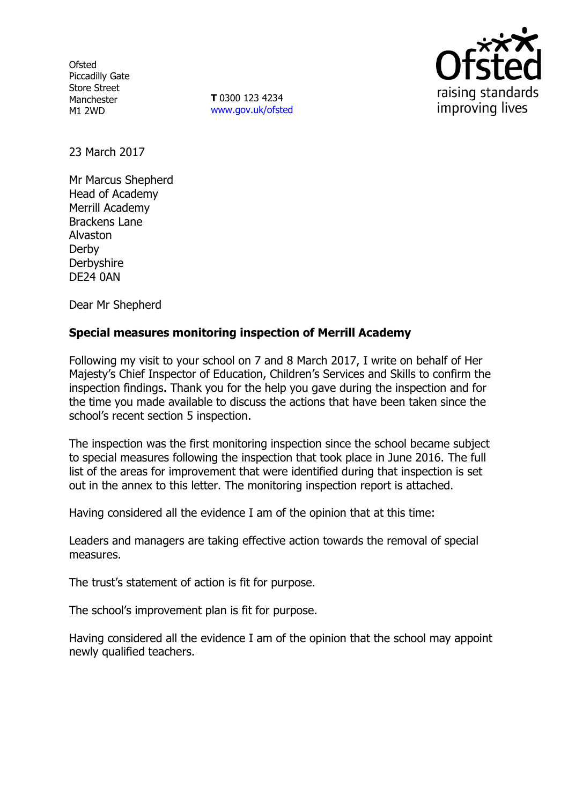**Ofsted** Piccadilly Gate Store Street Manchester M1 2WD

**T** 0300 123 4234 www.gov.uk/ofsted



23 March 2017

Mr Marcus Shepherd Head of Academy Merrill Academy Brackens Lane Alvaston Derby Derbyshire DE24 0AN

Dear Mr Shepherd

## **Special measures monitoring inspection of Merrill Academy**

Following my visit to your school on 7 and 8 March 2017, I write on behalf of Her Majesty's Chief Inspector of Education, Children's Services and Skills to confirm the inspection findings. Thank you for the help you gave during the inspection and for the time you made available to discuss the actions that have been taken since the school's recent section 5 inspection.

The inspection was the first monitoring inspection since the school became subject to special measures following the inspection that took place in June 2016. The full list of the areas for improvement that were identified during that inspection is set out in the annex to this letter. The monitoring inspection report is attached.

Having considered all the evidence I am of the opinion that at this time:

Leaders and managers are taking effective action towards the removal of special measures.

The trust's statement of action is fit for purpose.

The school's improvement plan is fit for purpose.

Having considered all the evidence I am of the opinion that the school may appoint newly qualified teachers.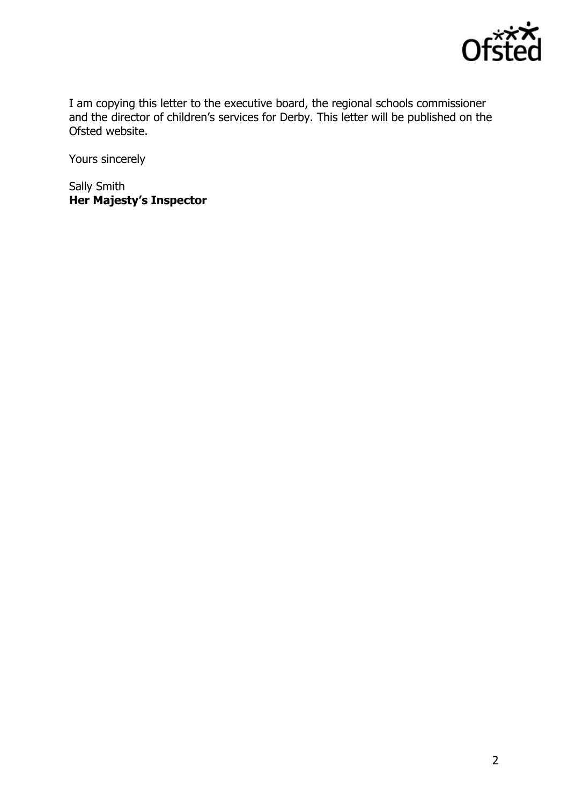

I am copying this letter to the executive board, the regional schools commissioner and the director of children's services for Derby. This letter will be published on the Ofsted website.

Yours sincerely

Sally Smith **Her Majesty's Inspector**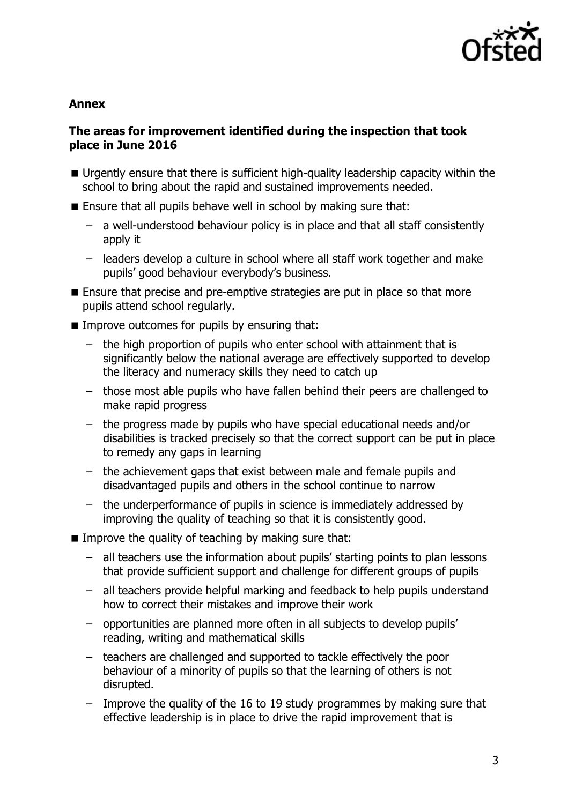

#### **Annex**

### **The areas for improvement identified during the inspection that took place in June 2016**

- Urgently ensure that there is sufficient high-quality leadership capacity within the school to bring about the rapid and sustained improvements needed.
- **Ensure that all pupils behave well in school by making sure that:** 
	- a well-understood behaviour policy is in place and that all staff consistently apply it
	- leaders develop a culture in school where all staff work together and make pupils' good behaviour everybody's business.
- **Ensure that precise and pre-emptive strategies are put in place so that more** pupils attend school regularly.
- $\blacksquare$  Improve outcomes for pupils by ensuring that:
	- the high proportion of pupils who enter school with attainment that is significantly below the national average are effectively supported to develop the literacy and numeracy skills they need to catch up
	- those most able pupils who have fallen behind their peers are challenged to make rapid progress
	- the progress made by pupils who have special educational needs and/or disabilities is tracked precisely so that the correct support can be put in place to remedy any gaps in learning
	- the achievement gaps that exist between male and female pupils and disadvantaged pupils and others in the school continue to narrow
	- the underperformance of pupils in science is immediately addressed by improving the quality of teaching so that it is consistently good.
- $\blacksquare$  Improve the quality of teaching by making sure that:
	- all teachers use the information about pupils' starting points to plan lessons that provide sufficient support and challenge for different groups of pupils
	- all teachers provide helpful marking and feedback to help pupils understand how to correct their mistakes and improve their work
	- opportunities are planned more often in all subjects to develop pupils' reading, writing and mathematical skills
	- teachers are challenged and supported to tackle effectively the poor behaviour of a minority of pupils so that the learning of others is not disrupted.
	- Improve the quality of the 16 to 19 study programmes by making sure that effective leadership is in place to drive the rapid improvement that is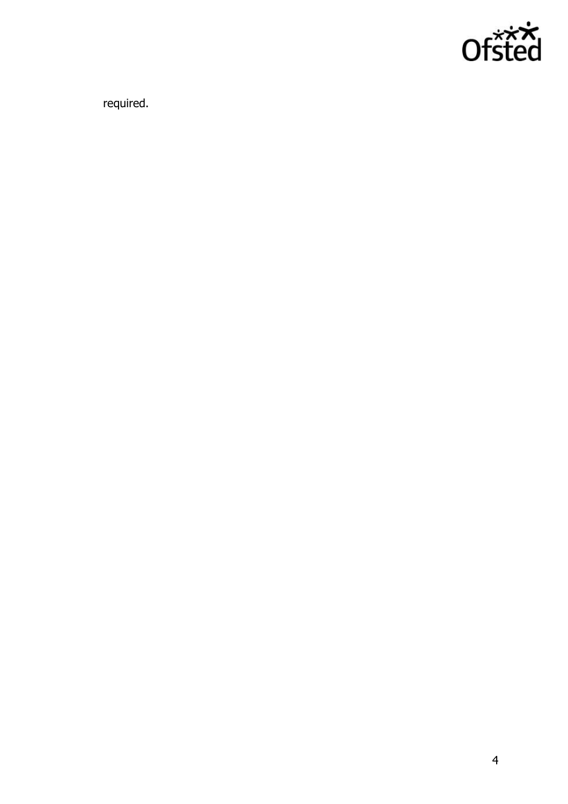

required.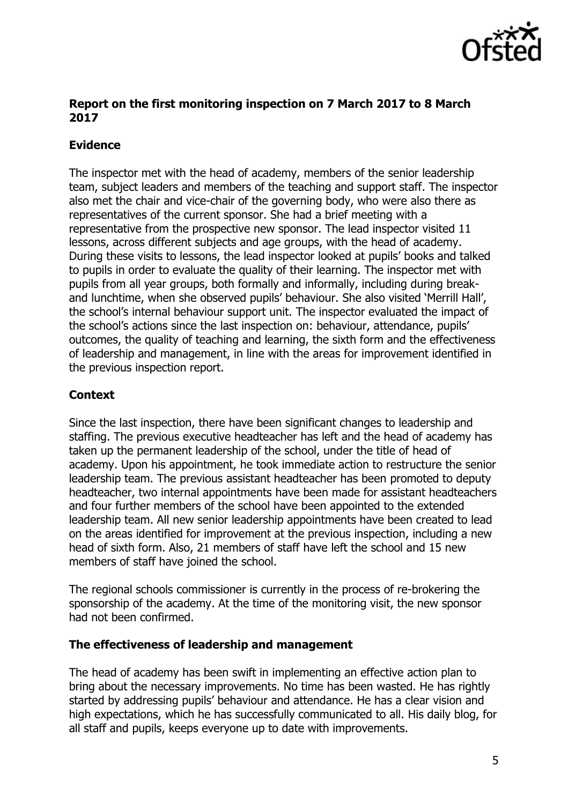

### **Report on the first monitoring inspection on 7 March 2017 to 8 March 2017**

# **Evidence**

The inspector met with the head of academy, members of the senior leadership team, subject leaders and members of the teaching and support staff. The inspector also met the chair and vice-chair of the governing body, who were also there as representatives of the current sponsor. She had a brief meeting with a representative from the prospective new sponsor. The lead inspector visited 11 lessons, across different subjects and age groups, with the head of academy. During these visits to lessons, the lead inspector looked at pupils' books and talked to pupils in order to evaluate the quality of their learning. The inspector met with pupils from all year groups, both formally and informally, including during breakand lunchtime, when she observed pupils' behaviour. She also visited 'Merrill Hall', the school's internal behaviour support unit. The inspector evaluated the impact of the school's actions since the last inspection on: behaviour, attendance, pupils' outcomes, the quality of teaching and learning, the sixth form and the effectiveness of leadership and management, in line with the areas for improvement identified in the previous inspection report.

# **Context**

Since the last inspection, there have been significant changes to leadership and staffing. The previous executive headteacher has left and the head of academy has taken up the permanent leadership of the school, under the title of head of academy. Upon his appointment, he took immediate action to restructure the senior leadership team. The previous assistant headteacher has been promoted to deputy headteacher, two internal appointments have been made for assistant headteachers and four further members of the school have been appointed to the extended leadership team. All new senior leadership appointments have been created to lead on the areas identified for improvement at the previous inspection, including a new head of sixth form. Also, 21 members of staff have left the school and 15 new members of staff have joined the school.

The regional schools commissioner is currently in the process of re-brokering the sponsorship of the academy. At the time of the monitoring visit, the new sponsor had not been confirmed.

#### **The effectiveness of leadership and management**

The head of academy has been swift in implementing an effective action plan to bring about the necessary improvements. No time has been wasted. He has rightly started by addressing pupils' behaviour and attendance. He has a clear vision and high expectations, which he has successfully communicated to all. His daily blog, for all staff and pupils, keeps everyone up to date with improvements.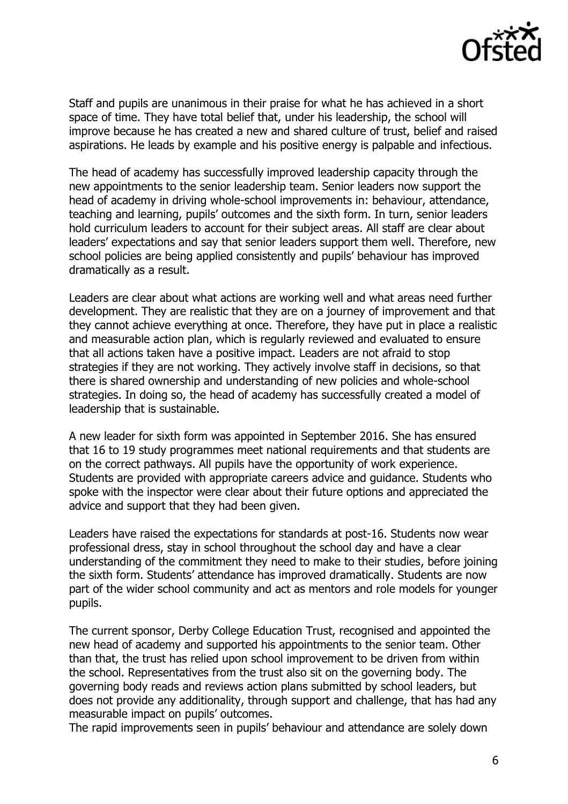

Staff and pupils are unanimous in their praise for what he has achieved in a short space of time. They have total belief that, under his leadership, the school will improve because he has created a new and shared culture of trust, belief and raised aspirations. He leads by example and his positive energy is palpable and infectious.

The head of academy has successfully improved leadership capacity through the new appointments to the senior leadership team. Senior leaders now support the head of academy in driving whole-school improvements in: behaviour, attendance, teaching and learning, pupils' outcomes and the sixth form. In turn, senior leaders hold curriculum leaders to account for their subject areas. All staff are clear about leaders' expectations and say that senior leaders support them well. Therefore, new school policies are being applied consistently and pupils' behaviour has improved dramatically as a result.

Leaders are clear about what actions are working well and what areas need further development. They are realistic that they are on a journey of improvement and that they cannot achieve everything at once. Therefore, they have put in place a realistic and measurable action plan, which is regularly reviewed and evaluated to ensure that all actions taken have a positive impact. Leaders are not afraid to stop strategies if they are not working. They actively involve staff in decisions, so that there is shared ownership and understanding of new policies and whole-school strategies. In doing so, the head of academy has successfully created a model of leadership that is sustainable.

A new leader for sixth form was appointed in September 2016. She has ensured that 16 to 19 study programmes meet national requirements and that students are on the correct pathways. All pupils have the opportunity of work experience. Students are provided with appropriate careers advice and guidance. Students who spoke with the inspector were clear about their future options and appreciated the advice and support that they had been given.

Leaders have raised the expectations for standards at post-16. Students now wear professional dress, stay in school throughout the school day and have a clear understanding of the commitment they need to make to their studies, before joining the sixth form. Students' attendance has improved dramatically. Students are now part of the wider school community and act as mentors and role models for younger pupils.

The current sponsor, Derby College Education Trust, recognised and appointed the new head of academy and supported his appointments to the senior team. Other than that, the trust has relied upon school improvement to be driven from within the school. Representatives from the trust also sit on the governing body. The governing body reads and reviews action plans submitted by school leaders, but does not provide any additionality, through support and challenge, that has had any measurable impact on pupils' outcomes.

The rapid improvements seen in pupils' behaviour and attendance are solely down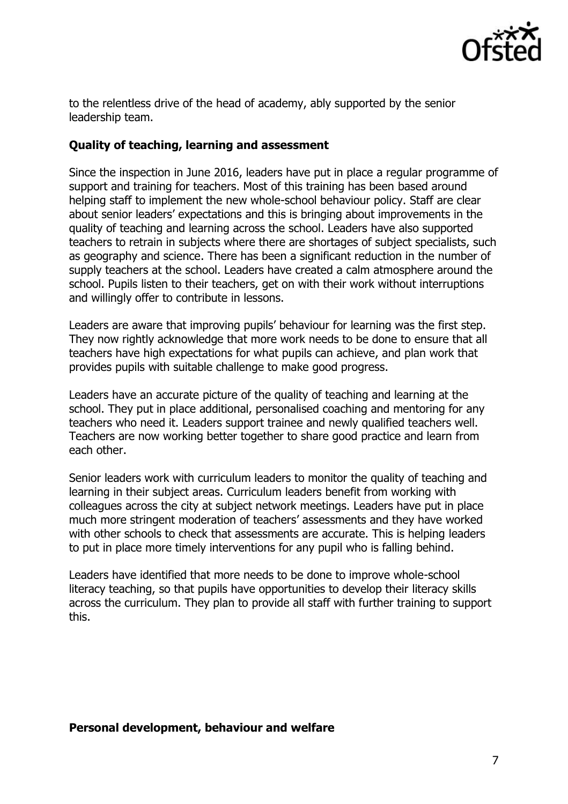

to the relentless drive of the head of academy, ably supported by the senior leadership team.

#### **Quality of teaching, learning and assessment**

Since the inspection in June 2016, leaders have put in place a regular programme of support and training for teachers. Most of this training has been based around helping staff to implement the new whole-school behaviour policy. Staff are clear about senior leaders' expectations and this is bringing about improvements in the quality of teaching and learning across the school. Leaders have also supported teachers to retrain in subjects where there are shortages of subject specialists, such as geography and science. There has been a significant reduction in the number of supply teachers at the school. Leaders have created a calm atmosphere around the school. Pupils listen to their teachers, get on with their work without interruptions and willingly offer to contribute in lessons.

Leaders are aware that improving pupils' behaviour for learning was the first step. They now rightly acknowledge that more work needs to be done to ensure that all teachers have high expectations for what pupils can achieve, and plan work that provides pupils with suitable challenge to make good progress.

Leaders have an accurate picture of the quality of teaching and learning at the school. They put in place additional, personalised coaching and mentoring for any teachers who need it. Leaders support trainee and newly qualified teachers well. Teachers are now working better together to share good practice and learn from each other.

Senior leaders work with curriculum leaders to monitor the quality of teaching and learning in their subject areas. Curriculum leaders benefit from working with colleagues across the city at subject network meetings. Leaders have put in place much more stringent moderation of teachers' assessments and they have worked with other schools to check that assessments are accurate. This is helping leaders to put in place more timely interventions for any pupil who is falling behind.

Leaders have identified that more needs to be done to improve whole-school literacy teaching, so that pupils have opportunities to develop their literacy skills across the curriculum. They plan to provide all staff with further training to support this.

#### **Personal development, behaviour and welfare**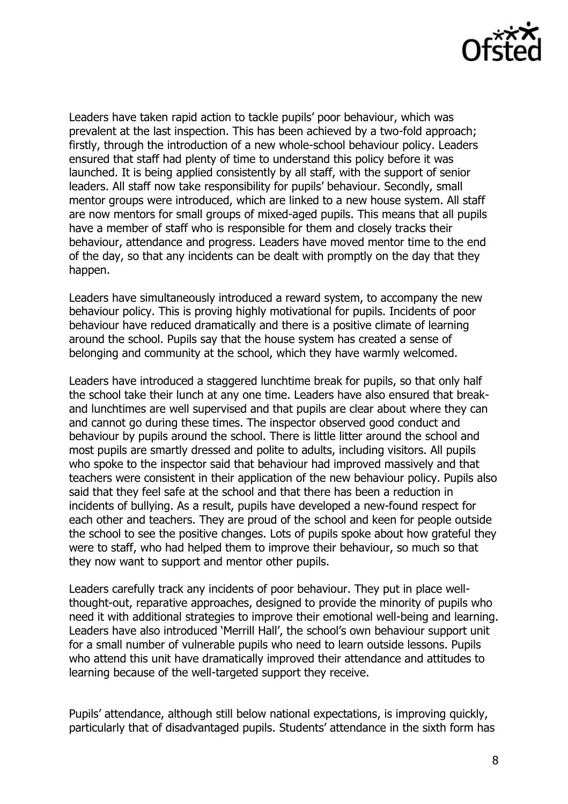

Leaders have taken rapid action to tackle pupils' poor behaviour, which was prevalent at the last inspection. This has been achieved by a two-fold approach; firstly, through the introduction of a new whole-school behaviour policy. Leaders ensured that staff had plenty of time to understand this policy before it was launched. It is being applied consistently by all staff, with the support of senior leaders. All staff now take responsibility for pupils' behaviour. Secondly, small mentor groups were introduced, which are linked to a new house system. All staff are now mentors for small groups of mixed-aged pupils. This means that all pupils have a member of staff who is responsible for them and closely tracks their behaviour, attendance and progress. Leaders have moved mentor time to the end of the day, so that any incidents can be dealt with promptly on the day that they happen.

Leaders have simultaneously introduced a reward system, to accompany the new behaviour policy. This is proving highly motivational for pupils. Incidents of poor behaviour have reduced dramatically and there is a positive climate of learning around the school. Pupils say that the house system has created a sense of belonging and community at the school, which they have warmly welcomed.

Leaders have introduced a staggered lunchtime break for pupils, so that only half the school take their lunch at any one time. Leaders have also ensured that breakand lunchtimes are well supervised and that pupils are clear about where they can and cannot go during these times. The inspector observed good conduct and behaviour by pupils around the school. There is little litter around the school and most pupils are smartly dressed and polite to adults, including visitors. All pupils who spoke to the inspector said that behaviour had improved massively and that teachers were consistent in their application of the new behaviour policy. Pupils also said that they feel safe at the school and that there has been a reduction in incidents of bullying. As a result, pupils have developed a new-found respect for each other and teachers. They are proud of the school and keen for people outside the school to see the positive changes. Lots of pupils spoke about how grateful they were to staff, who had helped them to improve their behaviour, so much so that they now want to support and mentor other pupils.

Leaders carefully track any incidents of poor behaviour. They put in place wellthought-out, reparative approaches, designed to provide the minority of pupils who need it with additional strategies to improve their emotional well-being and learning. Leaders have also introduced 'Merrill Hall', the school's own behaviour support unit for a small number of vulnerable pupils who need to learn outside lessons. Pupils who attend this unit have dramatically improved their attendance and attitudes to learning because of the well-targeted support they receive.

Pupils' attendance, although still below national expectations, is improving quickly, particularly that of disadvantaged pupils. Students' attendance in the sixth form has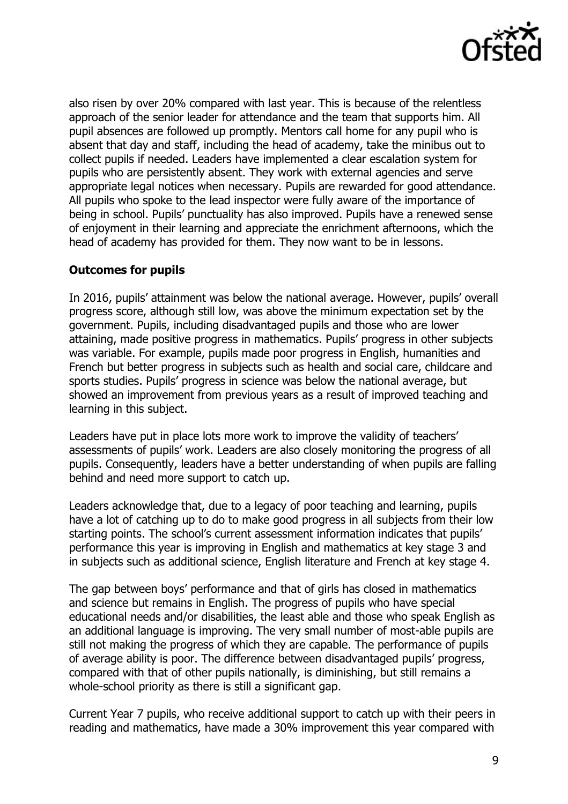

also risen by over 20% compared with last year. This is because of the relentless approach of the senior leader for attendance and the team that supports him. All pupil absences are followed up promptly. Mentors call home for any pupil who is absent that day and staff, including the head of academy, take the minibus out to collect pupils if needed. Leaders have implemented a clear escalation system for pupils who are persistently absent. They work with external agencies and serve appropriate legal notices when necessary. Pupils are rewarded for good attendance. All pupils who spoke to the lead inspector were fully aware of the importance of being in school. Pupils' punctuality has also improved. Pupils have a renewed sense of enjoyment in their learning and appreciate the enrichment afternoons, which the head of academy has provided for them. They now want to be in lessons.

#### **Outcomes for pupils**

In 2016, pupils' attainment was below the national average. However, pupils' overall progress score, although still low, was above the minimum expectation set by the government. Pupils, including disadvantaged pupils and those who are lower attaining, made positive progress in mathematics. Pupils' progress in other subjects was variable. For example, pupils made poor progress in English, humanities and French but better progress in subjects such as health and social care, childcare and sports studies. Pupils' progress in science was below the national average, but showed an improvement from previous years as a result of improved teaching and learning in this subject.

Leaders have put in place lots more work to improve the validity of teachers' assessments of pupils' work. Leaders are also closely monitoring the progress of all pupils. Consequently, leaders have a better understanding of when pupils are falling behind and need more support to catch up.

Leaders acknowledge that, due to a legacy of poor teaching and learning, pupils have a lot of catching up to do to make good progress in all subjects from their low starting points. The school's current assessment information indicates that pupils' performance this year is improving in English and mathematics at key stage 3 and in subjects such as additional science, English literature and French at key stage 4.

The gap between boys' performance and that of girls has closed in mathematics and science but remains in English. The progress of pupils who have special educational needs and/or disabilities, the least able and those who speak English as an additional language is improving. The very small number of most-able pupils are still not making the progress of which they are capable. The performance of pupils of average ability is poor. The difference between disadvantaged pupils' progress, compared with that of other pupils nationally, is diminishing, but still remains a whole-school priority as there is still a significant gap.

Current Year 7 pupils, who receive additional support to catch up with their peers in reading and mathematics, have made a 30% improvement this year compared with